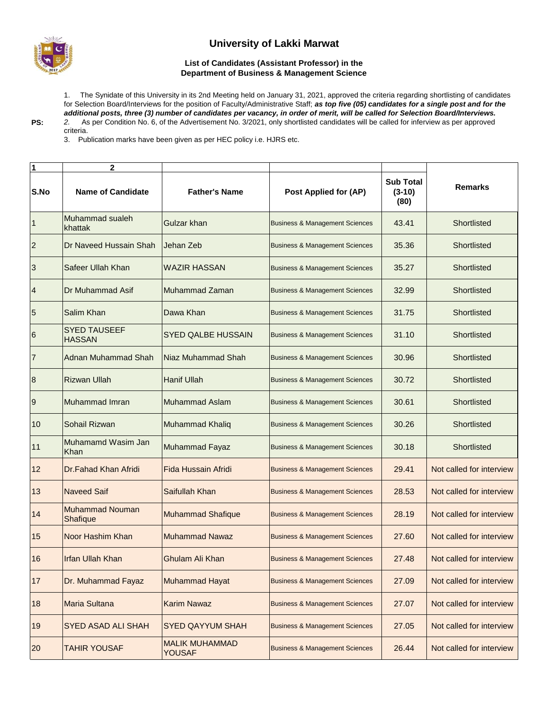

## **University of Lakki Marwat**

## **List of Candidates (Assistant Professor) in the Department of Business & Management Science**

1. The Synidate of this University in its 2nd Meeting held on January 31, 2021, approved the criteria regarding shortlisting of candidates for Selection Board/Interviews for the position of Faculty/Administrative Staff; *as top five (05) candidates for a single post and for the additional posts, three (3) number of candidates per vacancy, in order of merit, will be called for Selection Board/Interviews. 2.* As per Condition No. 6, of the Advertisement No. 3/2021, only shortlisted candidates will be called for inferview as per approved

**PS:**

criteria.

3. Publication marks have been given as per HEC policy i.e. HJRS etc.

| 1                        | $\mathbf{2}$                         |                                        |                                           |                                      |                          |
|--------------------------|--------------------------------------|----------------------------------------|-------------------------------------------|--------------------------------------|--------------------------|
| S.No                     | <b>Name of Candidate</b>             | <b>Father's Name</b>                   | Post Applied for (AP)                     | <b>Sub Total</b><br>$(3-10)$<br>(80) | <b>Remarks</b>           |
| $\overline{1}$           | Muhammad sualeh<br>khattak           | Gulzar khan                            | <b>Business &amp; Management Sciences</b> | 43.41                                | Shortlisted              |
| $\overline{c}$           | Dr Naveed Hussain Shah               | Jehan Zeb                              | <b>Business &amp; Management Sciences</b> | 35.36                                | Shortlisted              |
| 3                        | Safeer Ullah Khan                    | <b>WAZIR HASSAN</b>                    | <b>Business &amp; Management Sciences</b> | 35.27                                | Shortlisted              |
| $\overline{\mathcal{L}}$ | Dr Muhammad Asif                     | Muhammad Zaman                         | <b>Business &amp; Management Sciences</b> | 32.99                                | Shortlisted              |
| 5                        | Salim Khan                           | Dawa Khan                              | <b>Business &amp; Management Sciences</b> | 31.75                                | Shortlisted              |
| $6\phantom{.}6$          | <b>SYED TAUSEEF</b><br><b>HASSAN</b> | <b>SYED QALBE HUSSAIN</b>              | <b>Business &amp; Management Sciences</b> | 31.10                                | Shortlisted              |
| 7                        | <b>Adnan Muhammad Shah</b>           | Niaz Muhammad Shah                     | <b>Business &amp; Management Sciences</b> | 30.96                                | Shortlisted              |
| $\boldsymbol{8}$         | <b>Rizwan Ullah</b>                  | <b>Hanif Ullah</b>                     | <b>Business &amp; Management Sciences</b> | 30.72                                | Shortlisted              |
| $\overline{9}$           | Muhammad Imran                       | <b>Muhammad Aslam</b>                  | <b>Business &amp; Management Sciences</b> | 30.61                                | Shortlisted              |
| 10                       | Sohail Rizwan                        | <b>Muhammad Khaliq</b>                 | <b>Business &amp; Management Sciences</b> | 30.26                                | Shortlisted              |
| 11                       | Muhamamd Wasim Jan<br>Khan           | Muhammad Fayaz                         | <b>Business &amp; Management Sciences</b> | 30.18                                | Shortlisted              |
| 12                       | Dr.Fahad Khan Afridi                 | <b>Fida Hussain Afridi</b>             | <b>Business &amp; Management Sciences</b> | 29.41                                | Not called for interview |
| 13                       | <b>Naveed Saif</b>                   | Saifullah Khan                         | <b>Business &amp; Management Sciences</b> | 28.53                                | Not called for interview |
| 14                       | <b>Muhammad Nouman</b><br>Shafique   | <b>Muhammad Shafique</b>               | <b>Business &amp; Management Sciences</b> | 28.19                                | Not called for interview |
| 15                       | Noor Hashim Khan                     | <b>Muhammad Nawaz</b>                  | <b>Business &amp; Management Sciences</b> | 27.60                                | Not called for interview |
| 16                       | <b>Irfan Ullah Khan</b>              | Ghulam Ali Khan                        | <b>Business &amp; Management Sciences</b> | 27.48                                | Not called for interview |
| 17                       | Dr. Muhammad Fayaz                   | <b>Muhammad Hayat</b>                  | <b>Business &amp; Management Sciences</b> | 27.09                                | Not called for interview |
| 18                       | Maria Sultana                        | <b>Karim Nawaz</b>                     | <b>Business &amp; Management Sciences</b> | 27.07                                | Not called for interview |
| 19                       | <b>SYED ASAD ALI SHAH</b>            | <b>SYED QAYYUM SHAH</b>                | <b>Business &amp; Management Sciences</b> | 27.05                                | Not called for interview |
| 20                       | <b>TAHIR YOUSAF</b>                  | <b>MALIK MUHAMMAD</b><br><b>YOUSAF</b> | <b>Business &amp; Management Sciences</b> | 26.44                                | Not called for interview |